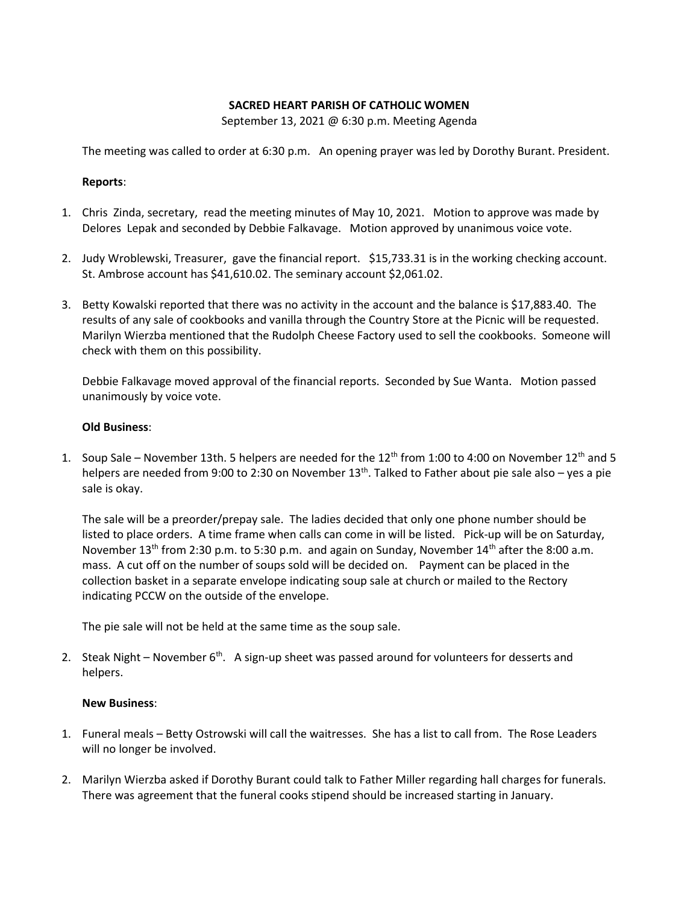### **SACRED HEART PARISH OF CATHOLIC WOMEN**

September 13, 2021 @ 6:30 p.m. Meeting Agenda

The meeting was called to order at 6:30 p.m. An opening prayer was led by Dorothy Burant. President.

### **Reports**:

- 1. Chris Zinda, secretary, read the meeting minutes of May 10, 2021. Motion to approve was made by Delores Lepak and seconded by Debbie Falkavage. Motion approved by unanimous voice vote.
- 2. Judy Wroblewski, Treasurer, gave the financial report. \$15,733.31 is in the working checking account. St. Ambrose account has \$41,610.02. The seminary account \$2,061.02.
- 3. Betty Kowalski reported that there was no activity in the account and the balance is \$17,883.40. The results of any sale of cookbooks and vanilla through the Country Store at the Picnic will be requested. Marilyn Wierzba mentioned that the Rudolph Cheese Factory used to sell the cookbooks. Someone will check with them on this possibility.

Debbie Falkavage moved approval of the financial reports. Seconded by Sue Wanta. Motion passed unanimously by voice vote.

### **Old Business**:

1. Soup Sale – November 13th. 5 helpers are needed for the  $12^{th}$  from 1:00 to 4:00 on November  $12^{th}$  and 5 helpers are needed from 9:00 to 2:30 on November  $13<sup>th</sup>$ . Talked to Father about pie sale also – yes a pie sale is okay.

The sale will be a preorder/prepay sale. The ladies decided that only one phone number should be listed to place orders. A time frame when calls can come in will be listed. Pick-up will be on Saturday, November 13<sup>th</sup> from 2:30 p.m. to 5:30 p.m. and again on Sunday, November 14<sup>th</sup> after the 8:00 a.m. mass. A cut off on the number of soups sold will be decided on. Payment can be placed in the collection basket in a separate envelope indicating soup sale at church or mailed to the Rectory indicating PCCW on the outside of the envelope.

The pie sale will not be held at the same time as the soup sale.

2. Steak Night – November 6<sup>th</sup>. A sign-up sheet was passed around for volunteers for desserts and helpers.

# **New Business**:

- 1. Funeral meals Betty Ostrowski will call the waitresses. She has a list to call from. The Rose Leaders will no longer be involved.
- 2. Marilyn Wierzba asked if Dorothy Burant could talk to Father Miller regarding hall charges for funerals. There was agreement that the funeral cooks stipend should be increased starting in January.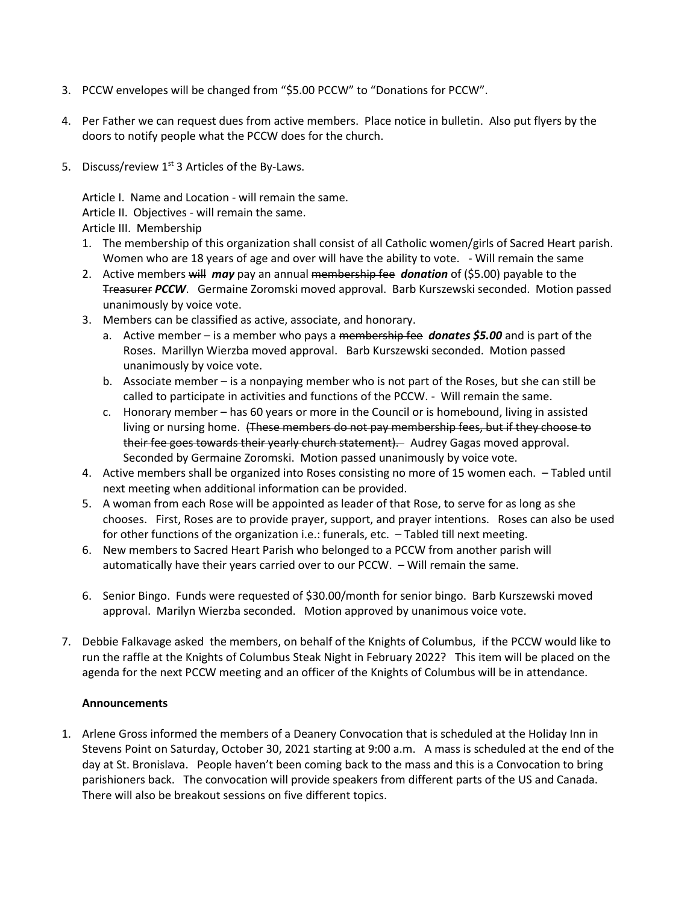- 3. PCCW envelopes will be changed from "\$5.00 PCCW" to "Donations for PCCW".
- 4. Per Father we can request dues from active members. Place notice in bulletin. Also put flyers by the doors to notify people what the PCCW does for the church.
- 5. Discuss/review  $1^{st}$  3 Articles of the By-Laws.

Article I. Name and Location - will remain the same. Article II. Objectives - will remain the same. Article III. Membership

- 1. The membership of this organization shall consist of all Catholic women/girls of Sacred Heart parish. Women who are 18 years of age and over will have the ability to vote. - Will remain the same
- 2. Active members will *may* pay an annual membership fee *donation* of (\$5.00) payable to the Treasurer *PCCW*. Germaine Zoromski moved approval. Barb Kurszewski seconded. Motion passed unanimously by voice vote.
- 3. Members can be classified as active, associate, and honorary.
	- a. Active member is a member who pays a membership fee *donates \$5.00* and is part of the Roses. Marillyn Wierzba moved approval. Barb Kurszewski seconded. Motion passed unanimously by voice vote.
	- b. Associate member is a nonpaying member who is not part of the Roses, but she can still be called to participate in activities and functions of the PCCW. - Will remain the same.
	- c. Honorary member has 60 years or more in the Council or is homebound, living in assisted living or nursing home. (These members do not pay membership fees, but if they choose to their fee goes towards their yearly church statement). Audrey Gagas moved approval. Seconded by Germaine Zoromski. Motion passed unanimously by voice vote.
- 4. Active members shall be organized into Roses consisting no more of 15 women each. Tabled until next meeting when additional information can be provided.
- 5. A woman from each Rose will be appointed as leader of that Rose, to serve for as long as she chooses. First, Roses are to provide prayer, support, and prayer intentions. Roses can also be used for other functions of the organization i.e.: funerals, etc. – Tabled till next meeting.
- 6. New members to Sacred Heart Parish who belonged to a PCCW from another parish will automatically have their years carried over to our PCCW. – Will remain the same.
- 6. Senior Bingo. Funds were requested of \$30.00/month for senior bingo. Barb Kurszewski moved approval. Marilyn Wierzba seconded. Motion approved by unanimous voice vote.
- 7. Debbie Falkavage asked the members, on behalf of the Knights of Columbus, if the PCCW would like to run the raffle at the Knights of Columbus Steak Night in February 2022? This item will be placed on the agenda for the next PCCW meeting and an officer of the Knights of Columbus will be in attendance.

# **Announcements**

1. Arlene Gross informed the members of a Deanery Convocation that is scheduled at the Holiday Inn in Stevens Point on Saturday, October 30, 2021 starting at 9:00 a.m. A mass is scheduled at the end of the day at St. Bronislava. People haven't been coming back to the mass and this is a Convocation to bring parishioners back. The convocation will provide speakers from different parts of the US and Canada. There will also be breakout sessions on five different topics.